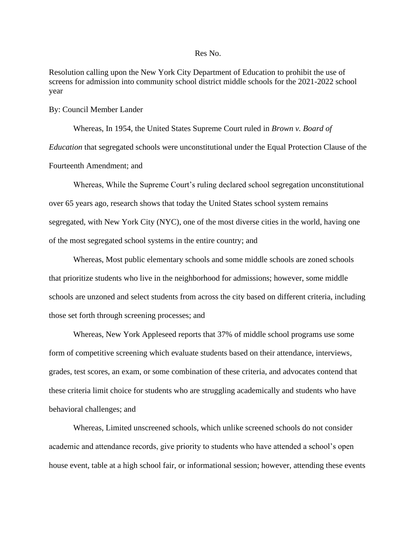## Res No.

Resolution calling upon the New York City Department of Education to prohibit the use of screens for admission into community school district middle schools for the 2021-2022 school year

By: Council Member Lander

Whereas, In 1954, the United States Supreme Court ruled in *Brown v. Board of Education* that segregated schools were unconstitutional under the Equal Protection Clause of the Fourteenth Amendment; and

Whereas, While the Supreme Court's ruling declared school segregation unconstitutional over 65 years ago, research shows that today the United States school system remains segregated, with New York City (NYC), one of the most diverse cities in the world, having one of the most segregated school systems in the entire country; and

Whereas, Most public elementary schools and some middle schools are zoned schools that prioritize students who live in the neighborhood for admissions; however, some middle schools are unzoned and select students from across the city based on different criteria, including those set forth through screening processes; and

Whereas, New York Appleseed reports that 37% of middle school programs use some form of competitive screening which evaluate students based on their attendance, interviews, grades, test scores, an exam, or some combination of these criteria, and advocates contend that these criteria limit choice for students who are struggling academically and students who have behavioral challenges; and

Whereas, Limited unscreened schools, which unlike screened schools do not consider academic and attendance records, give priority to students who have attended a school's open house event, table at a high school fair, or informational session; however, attending these events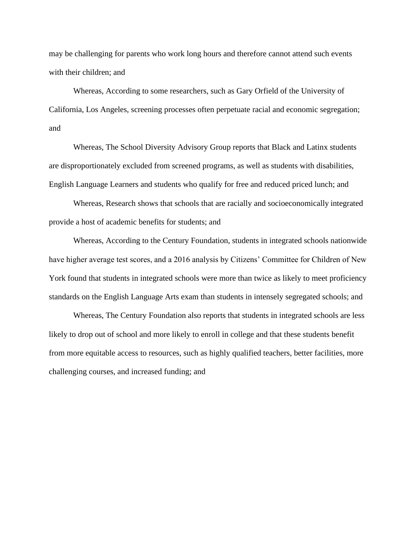may be challenging for parents who work long hours and therefore cannot attend such events with their children; and

Whereas, According to some researchers, such as Gary Orfield of the University of California, Los Angeles, screening processes often perpetuate racial and economic segregation; and

Whereas, The School Diversity Advisory Group reports that Black and Latinx students are disproportionately excluded from screened programs, as well as students with disabilities, English Language Learners and students who qualify for free and reduced priced lunch; and

Whereas, Research shows that schools that are racially and socioeconomically integrated provide a host of academic benefits for students; and

Whereas, According to the Century Foundation, students in integrated schools nationwide have higher average test scores, and a 2016 analysis by Citizens' Committee for Children of New York found that students in integrated schools were more than twice as likely to meet proficiency standards on the English Language Arts exam than students in intensely segregated schools; and

Whereas, The Century Foundation also reports that students in integrated schools are less likely to drop out of school and more likely to enroll in college and that these students benefit from more equitable access to resources, such as highly qualified teachers, better facilities, more challenging courses, and increased funding; and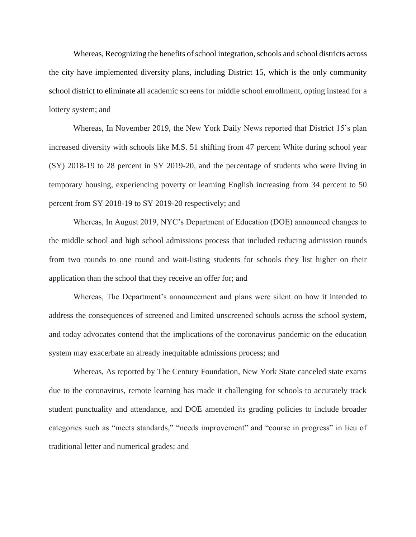Whereas, Recognizing the benefits of school integration, schools and school districts across the city have implemented diversity plans, including District 15, which is the only community school district to eliminate all academic screens for middle school enrollment, opting instead for a lottery system; and

Whereas, In November 2019, the New York Daily News reported that District 15's plan increased diversity with schools like M.S. 51 shifting from 47 percent White during school year (SY) 2018-19 to 28 percent in SY 2019-20, and the percentage of students who were living in temporary housing, experiencing poverty or learning English increasing from 34 percent to 50 percent from SY 2018-19 to SY 2019-20 respectively; and

Whereas, In August 2019, NYC's Department of Education (DOE) announced changes to the middle school and high school admissions process that included reducing admission rounds from two rounds to one round and wait-listing students for schools they list higher on their application than the school that they receive an offer for; and

Whereas, The Department's announcement and plans were silent on how it intended to address the consequences of screened and limited unscreened schools across the school system, and today advocates contend that the implications of the coronavirus pandemic on the education system may exacerbate an already inequitable admissions process; and

Whereas, As reported by The Century Foundation, New York State canceled state exams due to the coronavirus, remote learning has made it challenging for schools to accurately track student punctuality and attendance, and DOE amended its grading policies to include broader categories such as "meets standards," "needs improvement" and "course in progress" in lieu of traditional letter and numerical grades; and